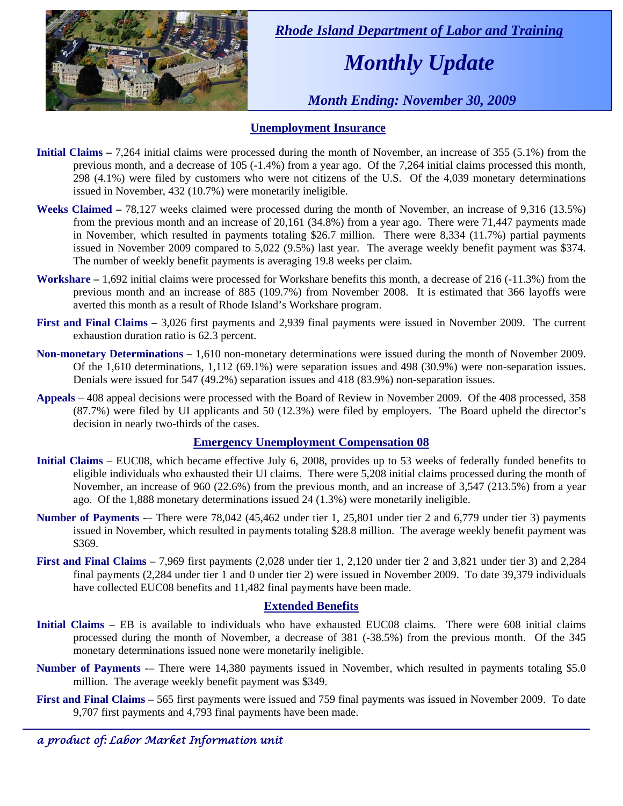

 *Rhode Island Department of Labor and Training* 

# *Monthly Update*

 *Month Ending: November 30, 2009* 

### **Unemployment Insurance**

- **Initial Claims 7,264** initial claims were processed during the month of November, an increase of 355 (5.1%) from the previous month, and a decrease of 105 (-1.4%) from a year ago. Of the 7,264 initial claims processed this month, 298 (4.1%) were filed by customers who were not citizens of the U.S. Of the 4,039 monetary determinations issued in November, 432 (10.7%) were monetarily ineligible.
- **Weeks Claimed** 78,127 weeks claimed were processed during the month of November, an increase of 9,316 (13.5%) from the previous month and an increase of 20,161 (34.8%) from a year ago. There were 71,447 payments made in November, which resulted in payments totaling \$26.7 million. There were 8,334 (11.7%) partial payments issued in November 2009 compared to 5,022 (9.5%) last year. The average weekly benefit payment was \$374. The number of weekly benefit payments is averaging 19.8 weeks per claim.
- **Workshare –** 1,692 initial claims were processed for Workshare benefits this month, a decrease of 216 (-11.3%) from the previous month and an increase of 885 (109.7%) from November 2008. It is estimated that 366 layoffs were averted this month as a result of Rhode Island's Workshare program.
- **First and Final Claims –** 3,026 first payments and 2,939 final payments were issued in November 2009. The current exhaustion duration ratio is 62.3 percent.
- **Non-monetary Determinations –** 1,610 non-monetary determinations were issued during the month of November 2009. Of the 1,610 determinations, 1,112 (69.1%) were separation issues and 498 (30.9%) were non-separation issues. Denials were issued for 547 (49.2%) separation issues and 418 (83.9%) non-separation issues.
- **Appeals** 408 appeal decisions were processed with the Board of Review in November 2009. Of the 408 processed, 358 (87.7%) were filed by UI applicants and 50 (12.3%) were filed by employers. The Board upheld the director's decision in nearly two-thirds of the cases.

### **Emergency Unemployment Compensation 08**

- **Initial Claims**  EUC08, which became effective July 6, 2008, provides up to 53 weeks of federally funded benefits to eligible individuals who exhausted their UI claims. There were 5,208 initial claims processed during the month of November, an increase of 960 (22.6%) from the previous month, and an increase of 3,547 (213.5%) from a year ago. Of the 1,888 monetary determinations issued 24 (1.3%) were monetarily ineligible.
- **Number of Payments** -– There were 78,042 (45,462 under tier 1, 25,801 under tier 2 and 6,779 under tier 3) payments issued in November, which resulted in payments totaling \$28.8 million. The average weekly benefit payment was \$369.
- **First and Final Claims**  7,969 first payments (2,028 under tier 1, 2,120 under tier 2 and 3,821 under tier 3) and 2,284 final payments (2,284 under tier 1 and 0 under tier 2) were issued in November 2009. To date 39,379 individuals have collected EUC08 benefits and 11,482 final payments have been made.

### **Extended Benefits**

- **Initial Claims**  EB is available to individuals who have exhausted EUC08 claims. There were 608 initial claims processed during the month of November, a decrease of 381 (-38.5%) from the previous month. Of the 345 monetary determinations issued none were monetarily ineligible.
- **Number of Payments** -– There were 14,380 payments issued in November, which resulted in payments totaling \$5.0 million. The average weekly benefit payment was \$349.
- **First and Final Claims**  565 first payments were issued and 759 final payments was issued in November 2009. To date 9,707 first payments and 4,793 final payments have been made.